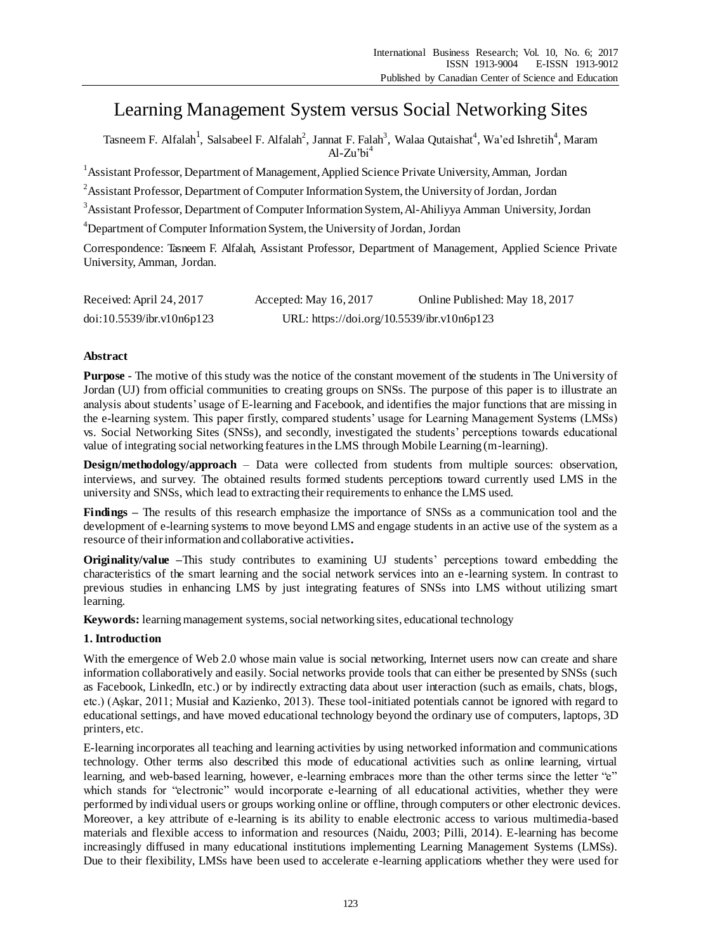# Learning Management System versus Social Networking Sites

Tasneem F. Alfalah<sup>1</sup>, Salsabeel F. Alfalah<sup>2</sup>, Jannat F. Falah<sup>3</sup>, Walaa Qutaishat<sup>4</sup>, Wa'ed Ishretih<sup>4</sup>, Maram  $Al-Zu'bi<sup>4</sup>$ 

<sup>1</sup> Assistant Professor, Department of Management, Applied Science Private University, Amman, Jordan

<sup>2</sup> Assistant Professor, Department of Computer Information System, the University of Jordan, Jordan

<sup>3</sup>Assistant Professor, Department of Computer Information System, Al-Ahiliyya Amman University, Jordan

<sup>4</sup>Department of Computer Information System, the University of Jordan, Jordan

Correspondence: Tasneem F. Alfalah, Assistant Professor, Department of Management, Applied Science Private University, Amman, Jordan.

| Received: April 24, 2017  | Accepted: May 16, 2017                     | Online Published: May 18, 2017 |
|---------------------------|--------------------------------------------|--------------------------------|
| doi:10.5539/ibr.v10n6p123 | URL: https://doi.org/10.5539/ibr.v10n6p123 |                                |

# **Abstract**

**Purpose** - The motive of this study was the notice of the constant movement of the students in The University of Jordan (UJ) from official communities to creating groups on SNSs. The purpose of this paper is to illustrate an analysis about students' usage of E-learning and Facebook, and identifies the major functions that are missing in the e-learning system. This paper firstly, compared students' usage for Learning Management Systems (LMSs) vs. Social Networking Sites (SNSs), and secondly, investigated the students' perceptions towards educational value of integrating social networking features in the LMS through Mobile Learning (m-learning).

**Design/methodology/approach** – Data were collected from students from multiple sources: observation, interviews, and survey. The obtained results formed students perceptions toward currently used LMS in the university and SNSs, which lead to extracting their requirements to enhance the LMS used.

**Findings –** The results of this research emphasize the importance of SNSs as a communication tool and the development of e-learning systems to move beyond LMS and engage students in an active use of the system as a resource of their information and collaborative activities**.**

**Originality/value –**This study contributes to examining UJ students' perceptions toward embedding the characteristics of the smart learning and the social network services into an e-learning system. In contrast to previous studies in enhancing LMS by just integrating features of SNSs into LMS without utilizing smart learning.

**Keywords:** learning management systems, social networking sites, educational technology

# **1. Introduction**

With the emergence of Web 2.0 whose main value is social networking, Internet users now can create and share information collaboratively and easily. Social networks provide tools that can either be presented by SNSs (such as Facebook, LinkedIn, etc.) or by indirectly extracting data about user interaction (such as emails, chats, blogs, etc.) (Aşkar, 2011; Musiał and Kazienko, 2013). These tool-initiated potentials cannot be ignored with regard to educational settings, and have moved educational technology beyond the ordinary use of computers, laptops, 3D printers, etc.

E-learning incorporates all teaching and learning activities by using networked information and communications technology. Other terms also described this mode of educational activities such as online learning, virtual learning, and web-based learning, however, e-learning embraces more than the other terms since the letter "e" which stands for "electronic" would incorporate e-learning of all educational activities, whether they were performed by individual users or groups working online or offline, through computers or other electronic devices. Moreover, a key attribute of e-learning is its ability to enable electronic access to various multimedia-based materials and flexible access to information and resources (Naidu, 2003; Pilli, 2014). E-learning has become increasingly diffused in many educational institutions implementing Learning Management Systems (LMSs). Due to their flexibility, LMSs have been used to accelerate e-learning applications whether they were used for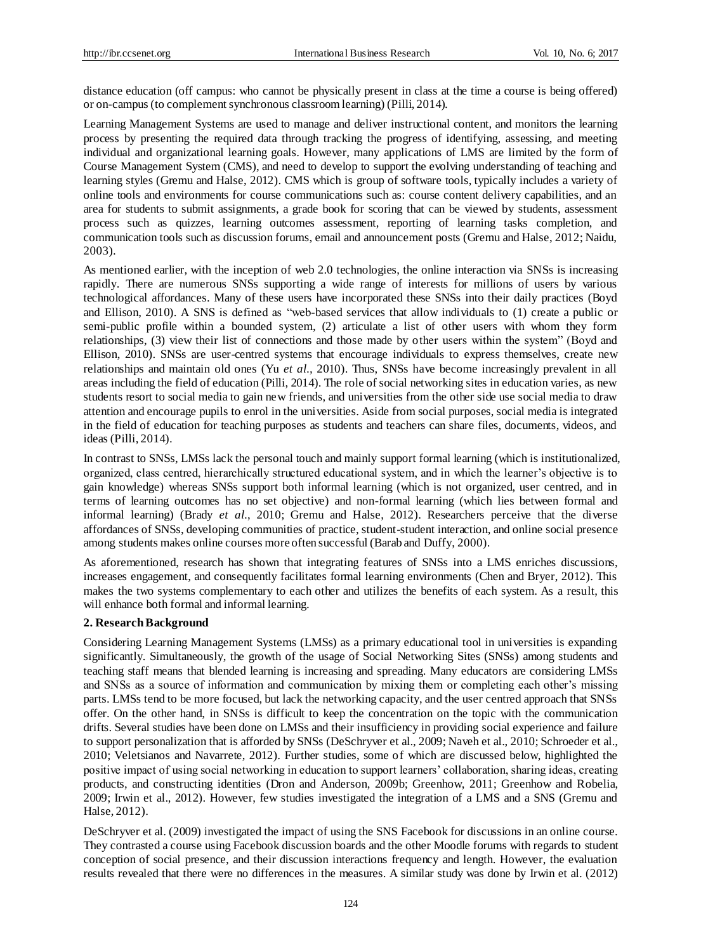distance education (off campus: who cannot be physically present in class at the time a course is being offered) or on-campus (to complement synchronous classroom learning) (Pilli, 2014).

Learning Management Systems are used to manage and deliver instructional content, and monitors the learning process by presenting the required data through tracking the progress of identifying, assessing, and meeting individual and organizational learning goals. However, many applications of LMS are limited by the form of Course Management System (CMS), and need to develop to support the evolving understanding of teaching and learning styles (Gremu and Halse, 2012). CMS which is group of software tools, typically includes a variety of online tools and environments for course communications such as: course content delivery capabilities, and an area for students to submit assignments, a grade book for scoring that can be viewed by students, assessment process such as quizzes, learning outcomes assessment, reporting of learning tasks completion, and communication tools such as discussion forums, email and announcement posts (Gremu and Halse, 2012; Naidu, 2003).

As mentioned earlier, with the inception of web 2.0 technologies, the online interaction via SNSs is increasing rapidly. There are numerous SNSs supporting a wide range of interests for millions of users by various technological affordances. Many of these users have incorporated these SNSs into their daily practices (Boyd and Ellison, 2010). A SNS is defined as "web-based services that allow individuals to (1) create a public or semi-public profile within a bounded system, (2) articulate a list of other users with whom they form relationships, (3) view their list of connections and those made by other users within the system" (Boyd and Ellison, 2010). SNSs are user-centred systems that encourage individuals to express themselves, create new relationships and maintain old ones (Yu *et al.,* 2010). Thus, SNSs have become increasingly prevalent in all areas including the field of education (Pilli, 2014). The role of social networking sites in education varies, as new students resort to social media to gain new friends, and universities from the other side use social media to draw attention and encourage pupils to enrol in the universities. Aside from social purposes, social media is integrated in the field of education for teaching purposes as students and teachers can share files, documents, videos, and ideas (Pilli, 2014).

In contrast to SNSs, LMSs lack the personal touch and mainly support formal learning (which is institutionalized, organized, class centred, hierarchically structured educational system, and in which the learner's objective is to gain knowledge) whereas SNSs support both informal learning (which is not organized, user centred, and in terms of learning outcomes has no set objective) and non-formal learning (which lies between formal and informal learning) (Brady *et al.*, 2010; Gremu and Halse, 2012). Researchers perceive that the diverse affordances of SNSs, developing communities of practice, student-student interaction, and online social presence among students makes online courses more often successful (Barab and Duffy, 2000).

As aforementioned, research has shown that integrating features of SNSs into a LMS enriches discussions, increases engagement, and consequently facilitates formal learning environments (Chen and Bryer, 2012). This makes the two systems complementary to each other and utilizes the benefits of each system. As a result, this will enhance both formal and informal learning.

## **2. Research Background**

Considering Learning Management Systems (LMSs) as a primary educational tool in universities is expanding significantly. Simultaneously, the growth of the usage of Social Networking Sites (SNSs) among students and teaching staff means that blended learning is increasing and spreading. Many educators are considering LMSs and SNSs as a source of information and communication by mixing them or completing each other's missing parts. LMSs tend to be more focused, but lack the networking capacity, and the user centred approach that SNSs offer. On the other hand, in SNSs is difficult to keep the concentration on the topic with the communication drifts. Several studies have been done on LMSs and their insufficiency in providing social experience and failure to support personalization that is afforded by SNSs (DeSchryver et al., 2009; Naveh et al., 2010; Schroeder et al., 2010; Veletsianos and Navarrete, 2012). Further studies, some of which are discussed below, highlighted the positive impact of using social networking in education to support learners' collaboration, sharing ideas, creating products, and constructing identities (Dron and Anderson, 2009b; Greenhow, 2011; Greenhow and Robelia, 2009; Irwin et al., 2012). However, few studies investigated the integration of a LMS and a SNS (Gremu and Halse, 2012).

DeSchryver et al. (2009) investigated the impact of using the SNS Facebook for discussions in an online course. They contrasted a course using Facebook discussion boards and the other Moodle forums with regards to student conception of social presence, and their discussion interactions frequency and length. However, the evaluation results revealed that there were no differences in the measures. A similar study was done by Irwin et al. (2012)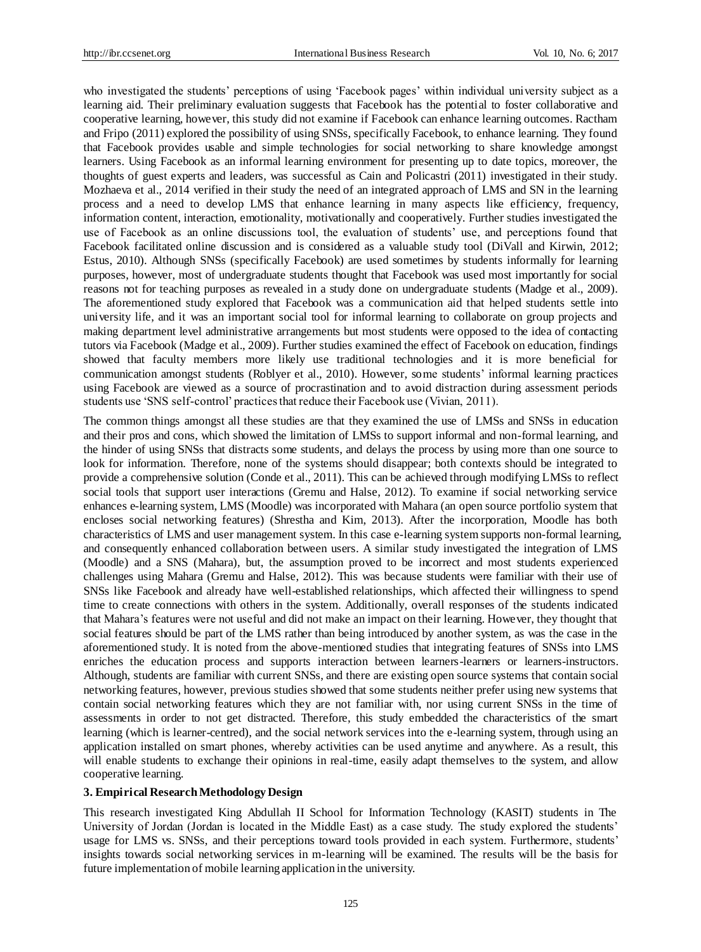who investigated the students' perceptions of using 'Facebook pages' within individual university subject as a learning aid. Their preliminary evaluation suggests that Facebook has the potential to foster collaborative and cooperative learning, however, this study did not examine if Facebook can enhance learning outcomes. Ractham and Fripo (2011) explored the possibility of using SNSs, specifically Facebook, to enhance learning. They found that Facebook provides usable and simple technologies for social networking to share knowledge amongst learners. Using Facebook as an informal learning environment for presenting up to date topics, moreover, the thoughts of guest experts and leaders, was successful as Cain and Policastri (2011) investigated in their study. Mozhaeva et al., 2014 verified in their study the need of an integrated approach of LMS and SN in the learning process and a need to develop LMS that enhance learning in many aspects like efficiency, frequency, information content, interaction, emotionality, motivationally and cooperatively. Further studies investigated the use of Facebook as an online discussions tool, the evaluation of students' use, and perceptions found that Facebook facilitated online discussion and is considered as a valuable study tool (DiVall and Kirwin, 2012; Estus, 2010). Although SNSs (specifically Facebook) are used sometimes by students informally for learning purposes, however, most of undergraduate students thought that Facebook was used most importantly for social reasons not for teaching purposes as revealed in a study done on undergraduate students (Madge et al., 2009). The aforementioned study explored that Facebook was a communication aid that helped students settle into university life, and it was an important social tool for informal learning to collaborate on group projects and making department level administrative arrangements but most students were opposed to the idea of contacting tutors via Facebook (Madge et al., 2009). Further studies examined the effect of Facebook on education, findings showed that faculty members more likely use traditional technologies and it is more beneficial for communication amongst students (Roblyer et al., 2010). However, some students' informal learning practices using Facebook are viewed as a source of procrastination and to avoid distraction during assessment periods students use 'SNS self-control' practices that reduce their Facebook use (Vivian, 2011).

The common things amongst all these studies are that they examined the use of LMSs and SNSs in education and their pros and cons, which showed the limitation of LMSs to support informal and non-formal learning, and the hinder of using SNSs that distracts some students, and delays the process by using more than one source to look for information. Therefore, none of the systems should disappear; both contexts should be integrated to provide a comprehensive solution (Conde et al., 2011). This can be achieved through modifying LMSs to reflect social tools that support user interactions (Gremu and Halse, 2012). To examine if social networking service enhances e-learning system, LMS (Moodle) was incorporated with Mahara (an open source portfolio system that encloses social networking features) (Shrestha and Kim, 2013). After the incorporation, Moodle has both characteristics of LMS and user management system. In this case e-learning system supports non-formal learning, and consequently enhanced collaboration between users. A similar study investigated the integration of LMS (Moodle) and a SNS (Mahara), but, the assumption proved to be incorrect and most students experienced challenges using Mahara (Gremu and Halse, 2012). This was because students were familiar with their use of SNSs like Facebook and already have well-established relationships, which affected their willingness to spend time to create connections with others in the system. Additionally, overall responses of the students indicated that Mahara's features were not useful and did not make an impact on their learning. However, they thought that social features should be part of the LMS rather than being introduced by another system, as was the case in the aforementioned study. It is noted from the above-mentioned studies that integrating features of SNSs into LMS enriches the education process and supports interaction between learners-learners or learners-instructors. Although, students are familiar with current SNSs, and there are existing open source systems that contain social networking features, however, previous studies showed that some students neither prefer using new systems that contain social networking features which they are not familiar with, nor using current SNSs in the time of assessments in order to not get distracted. Therefore, this study embedded the characteristics of the smart learning (which is learner-centred), and the social network services into the e-learning system, through using an application installed on smart phones, whereby activities can be used anytime and anywhere. As a result, this will enable students to exchange their opinions in real-time, easily adapt themselves to the system, and allow cooperative learning*.* 

#### **3. Empirical Research Methodology Design**

This research investigated King Abdullah II School for Information Technology (KASIT) students in The University of Jordan (Jordan is located in the Middle East) as a case study. The study explored the students' usage for LMS vs. SNSs, and their perceptions toward tools provided in each system. Furthermore, students' insights towards social networking services in m-learning will be examined. The results will be the basis for future implementation of mobile learning application in the university.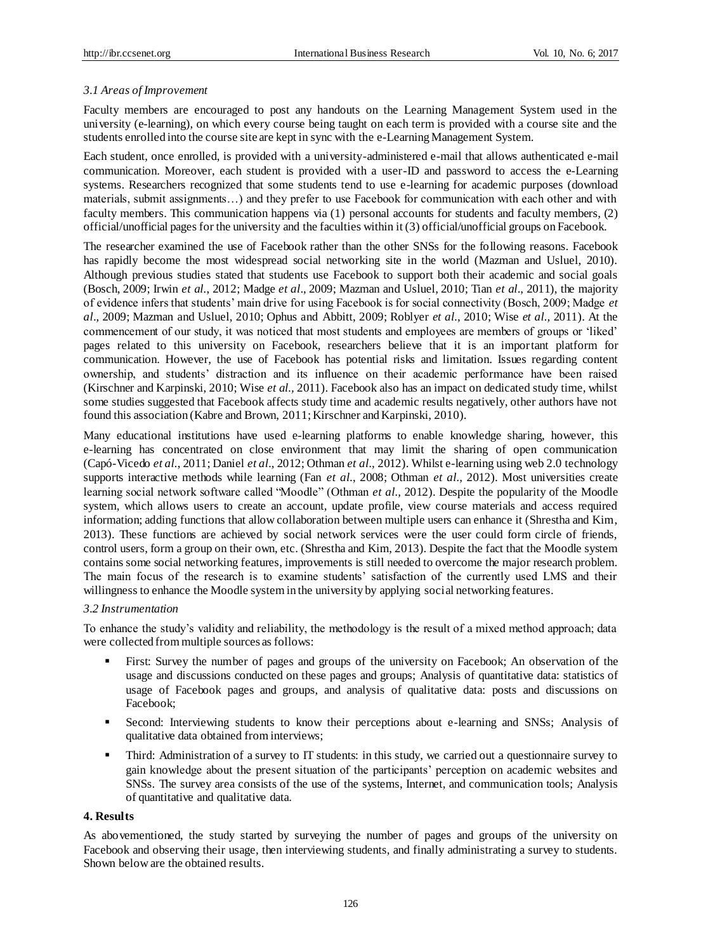## *3.1 Areas of Improvement*

Faculty members are encouraged to post any handouts on the Learning Management System used in the university (e-learning), on which every course being taught on each term is provided with a course site and the students enrolled into the course site are kept in sync with the e-Learning Management System.

Each student, once enrolled, is provided with a university-administered e-mail that allows authenticated e-mail communication. Moreover, each student is provided with a user-ID and password to access the e-Learning systems. Researchers recognized that some students tend to use e-learning for academic purposes (download materials, submit assignments…) and they prefer to use Facebook for communication with each other and with faculty members. This communication happens via (1) personal accounts for students and faculty members, (2) official/unofficial pages for the university and the faculties within it (3) official/unofficial groups on Facebook.

The researcher examined the use of Facebook rather than the other SNSs for the following reasons. Facebook has rapidly become the most widespread social networking site in the world (Mazman and Usluel, 2010). Although previous studies stated that students use Facebook to support both their academic and social goals (Bosch, 2009; Irwin *et al.*, 2012; Madge *et al*., 2009; Mazman and Usluel, 2010; Tian *et al*., 2011), the majority of evidence infers that students' main drive for using Facebook is for social connectivity (Bosch, 2009; Madge *et al*., 2009; Mazman and Usluel, 2010; Ophus and Abbitt, 2009; Roblyer *et al.,* 2010; Wise *et al.,* 2011). At the commencement of our study, it was noticed that most students and employees are members of groups or 'liked' pages related to this university on Facebook, researchers believe that it is an important platform for communication. However, the use of Facebook has potential risks and limitation. Issues regarding content ownership, and students' distraction and its influence on their academic performance have been raised (Kirschner and Karpinski, 2010; Wise *et al.,* 2011). Facebook also has an impact on dedicated study time, whilst some studies suggested that Facebook affects study time and academic results negatively, other authors have not found this association (Kabre and Brown, 2011; Kirschner and Karpinski, 2010).

Many educational institutions have used e-learning platforms to enable knowledge sharing, however, this e-learning has concentrated on close environment that may limit the sharing of open communication (Capó-Vicedo *et al.*, 2011; Daniel *et al.,* 2012; Othman *et al.,* 2012). Whilst e-learning using web 2.0 technology supports interactive methods while learning (Fan *et al.*, 2008; Othman *et al.,* 2012). Most universities create learning social network software called "Moodle" (Othman *et al.,* 2012). Despite the popularity of the Moodle system, which allows users to create an account, update profile, view course materials and access required information; adding functions that allow collaboration between multiple users can enhance it (Shrestha and Kim, 2013). These functions are achieved by social network services were the user could form circle of friends, control users, form a group on their own, etc. (Shrestha and Kim, 2013). Despite the fact that the Moodle system contains some social networking features, improvements is still needed to overcome the major research problem. The main focus of the research is to examine students' satisfaction of the currently used LMS and their willingness to enhance the Moodle system in the university by applying social networking features.

#### *3.2 Instrumentation*

To enhance the study's validity and reliability, the methodology is the result of a mixed method approach; data were collected from multiple sources as follows:

- First: Survey the number of pages and groups of the university on Facebook; An observation of the usage and discussions conducted on these pages and groups; Analysis of quantitative data: statistics of usage of Facebook pages and groups, and analysis of qualitative data: posts and discussions on Facebook;
- Second: Interviewing students to know their perceptions about e-learning and SNSs; Analysis of qualitative data obtained from interviews;
- Third: Administration of a survey to IT students: in this study, we carried out a questionnaire survey to gain knowledge about the present situation of the participants' perception on academic websites and SNSs. The survey area consists of the use of the systems, Internet, and communication tools; Analysis of quantitative and qualitative data.

# **4. Results**

As abovementioned, the study started by surveying the number of pages and groups of the university on Facebook and observing their usage, then interviewing students, and finally administrating a survey to students. Shown below are the obtained results.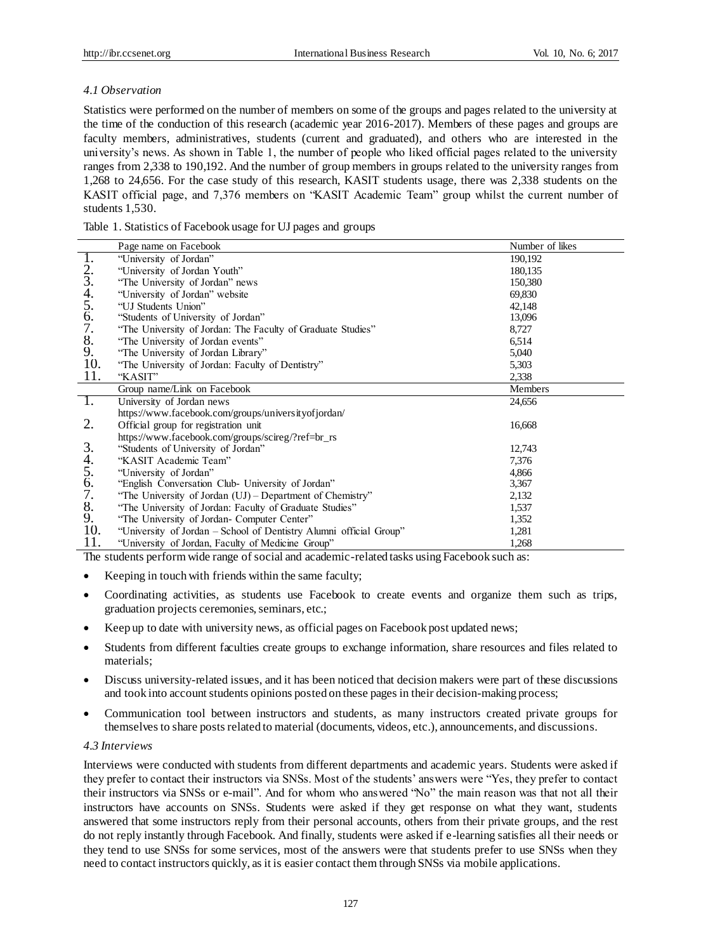# *4.1 Observation*

Statistics were performed on the number of members on some of the groups and pages related to the university at the time of the conduction of this research (academic year 2016-2017). Members of these pages and groups are faculty members, administratives, students (current and graduated), and others who are interested in the university's news. As shown in Table 1, the number of people who liked official pages related to the university ranges from 2,338 to 190,192. And the number of group members in groups related to the university ranges from 1,268 to 24,656. For the case study of this research, KASIT students usage, there was 2,338 students on the KASIT official page, and 7,376 members on "KASIT Academic Team" group whilst the current number of students 1,530.

| Table 1. Statistics of Facebook usage for UJ pages and groups |  |  |
|---------------------------------------------------------------|--|--|
|---------------------------------------------------------------|--|--|

|                  | Page name on Facebook                                              | Number of likes |
|------------------|--------------------------------------------------------------------|-----------------|
| $\overline{1}$ . | "University of Jordan"                                             | 190,192         |
| $rac{2}{3}$ .    | "University of Jordan Youth"                                       | 180,135         |
|                  | "The University of Jordan" news                                    | 150,380         |
| 4.               | "University of Jordan" website                                     | 69,830          |
| 5.               | "UJ Students Union"                                                | 42.148          |
| 6.               | "Students of University of Jordan"                                 | 13,096          |
| 7.               | "The University of Jordan: The Faculty of Graduate Studies"        | 8,727           |
| 8.               | "The University of Jordan events"                                  | 6,514           |
| 9.               | "The University of Jordan Library"                                 | 5,040           |
| 10.              | "The University of Jordan: Faculty of Dentistry"                   | 5,303           |
| 11.              | "KASIT"                                                            | 2,338           |
|                  | Group name/Link on Facebook                                        | Members         |
| -1.              | University of Jordan news                                          | 24,656          |
|                  | https://www.facebook.com/groups/universityofjordan/                |                 |
| 2.               | Official group for registration unit                               | 16,668          |
|                  | https://www.facebook.com/groups/scireg/?ref=br_rs                  |                 |
| 3.               | "Students of University of Jordan"                                 | 12,743          |
| 4.               | "KASIT Academic Team"                                              | 7,376           |
| 5.               | "University of Jordan"                                             | 4,866           |
| 6.               | "English Conversation Club- University of Jordan"                  | 3,367           |
| 7.               | "The University of Jordan (UJ) – Department of Chemistry"          | 2,132           |
| 8.               | "The University of Jordan: Faculty of Graduate Studies"            | 1,537           |
| 9.               | "The University of Jordan- Computer Center"                        | 1,352           |
| 10.              | "University of Jordan – School of Dentistry Alumni official Group" | 1,281           |
| 11.              | "University of Jordan, Faculty of Medicine Group"                  | 1,268           |

The students perform wide range of social and academic-related tasks using Facebook such as:

- Keeping in touch with friends within the same faculty;
- Coordinating activities, as students use Facebook to create events and organize them such as trips, graduation projects ceremonies, seminars, etc.;
- Keep up to date with university news, as official pages on Facebook post updated news;
- Students from different faculties create groups to exchange information, share resources and files related to materials;
- Discuss university-related issues, and it has been noticed that decision makers were part of these discussions and took into account students opinions posted on these pages in their decision-making process;
- Communication tool between instructors and students, as many instructors created private groups for themselves to share posts related to material (documents, videos, etc.), announcements, and discussions.

# *4.3 Interviews*

Interviews were conducted with students from different departments and academic years. Students were asked if they prefer to contact their instructors via SNSs. Most of the students' answers were "Yes, they prefer to contact their instructors via SNSs or e-mail". And for whom who answered "No" the main reason was that not all their instructors have accounts on SNSs. Students were asked if they get response on what they want, students answered that some instructors reply from their personal accounts, others from their private groups, and the rest do not reply instantly through Facebook. And finally, students were asked if e-learning satisfies all their needs or they tend to use SNSs for some services, most of the answers were that students prefer to use SNSs when they need to contact instructors quickly, as it is easier contact them through SNSs via mobile applications.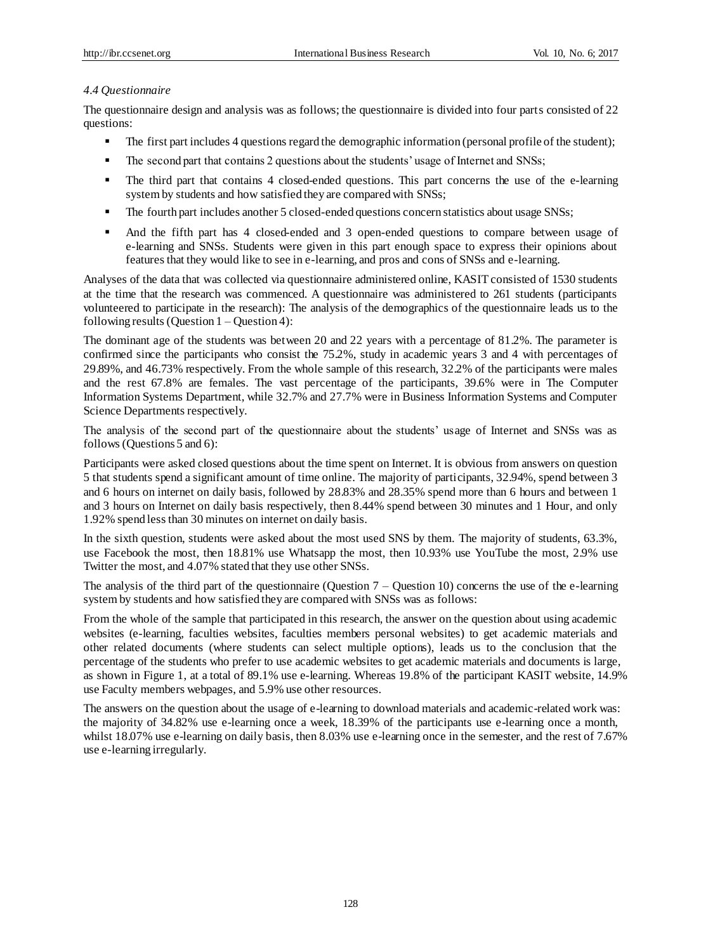# *4.4 Questionnaire*

The questionnaire design and analysis was as follows; the questionnaire is divided into four parts consisted of 22 questions:

- The first part includes 4 questions regard the demographic information (personal profile of the student);
- The second part that contains 2 questions about the students' usage of Internet and SNSs;
- The third part that contains 4 closed-ended questions. This part concerns the use of the e-learning system by students and how satisfied they are compared with SNSs;
- The fourth part includes another 5 closed-ended questions concern statistics about usage SNSs;
- And the fifth part has 4 closed-ended and 3 open-ended questions to compare between usage of e-learning and SNSs. Students were given in this part enough space to express their opinions about features that they would like to see in e-learning, and pros and cons of SNSs and e-learning.

Analyses of the data that was collected via questionnaire administered online, KASIT consisted of 1530 students at the time that the research was commenced. A questionnaire was administered to 261 students (participants volunteered to participate in the research): The analysis of the demographics of the questionnaire leads us to the following results (Question  $1 -$ Question 4):

The dominant age of the students was between 20 and 22 years with a percentage of 81.2%. The parameter is confirmed since the participants who consist the 75.2%, study in academic years 3 and 4 with percentages of 29.89%, and 46.73% respectively. From the whole sample of this research, 32.2% of the participants were males and the rest 67.8% are females. The vast percentage of the participants, 39.6% were in The Computer Information Systems Department, while 32.7% and 27.7% were in Business Information Systems and Computer Science Departments respectively.

The analysis of the second part of the questionnaire about the students' usage of Internet and SNSs was as follows (Questions 5 and 6):

Participants were asked closed questions about the time spent on Internet. It is obvious from answers on question 5 that students spend a significant amount of time online. The majority of participants, 32.94%, spend between 3 and 6 hours on internet on daily basis, followed by 28.83% and 28.35% spend more than 6 hours and between 1 and 3 hours on Internet on daily basis respectively, then 8.44% spend between 30 minutes and 1 Hour, and only 1.92% spend less than 30 minutes on internet on daily basis.

In the sixth question, students were asked about the most used SNS by them. The majority of students, 63.3%, use Facebook the most, then 18.81% use Whatsapp the most, then 10.93% use YouTube the most, 2.9% use Twitter the most, and 4.07% stated that they use other SNSs.

The analysis of the third part of the questionnaire (Question  $7 -$ Question 10) concerns the use of the e-learning system by students and how satisfied they are compared with SNSs was as follows:

From the whole of the sample that participated in this research, the answer on the question about using academic websites (e-learning, faculties websites, faculties members personal websites) to get academic materials and other related documents (where students can select multiple options), leads us to the conclusion that the percentage of the students who prefer to use academic websites to get academic materials and documents is large, as shown in Figure 1, at a total of 89.1% use e-learning. Whereas 19.8% of the participant KASIT website, 14.9% use Faculty members webpages, and 5.9% use other resources.

The answers on the question about the usage of e-learning to download materials and academic-related work was: the majority of 34.82% use e-learning once a week, 18.39% of the participants use e-learning once a month, whilst 18.07% use e-learning on daily basis, then 8.03% use e-learning once in the semester, and the rest of 7.67% use e-learning irregularly.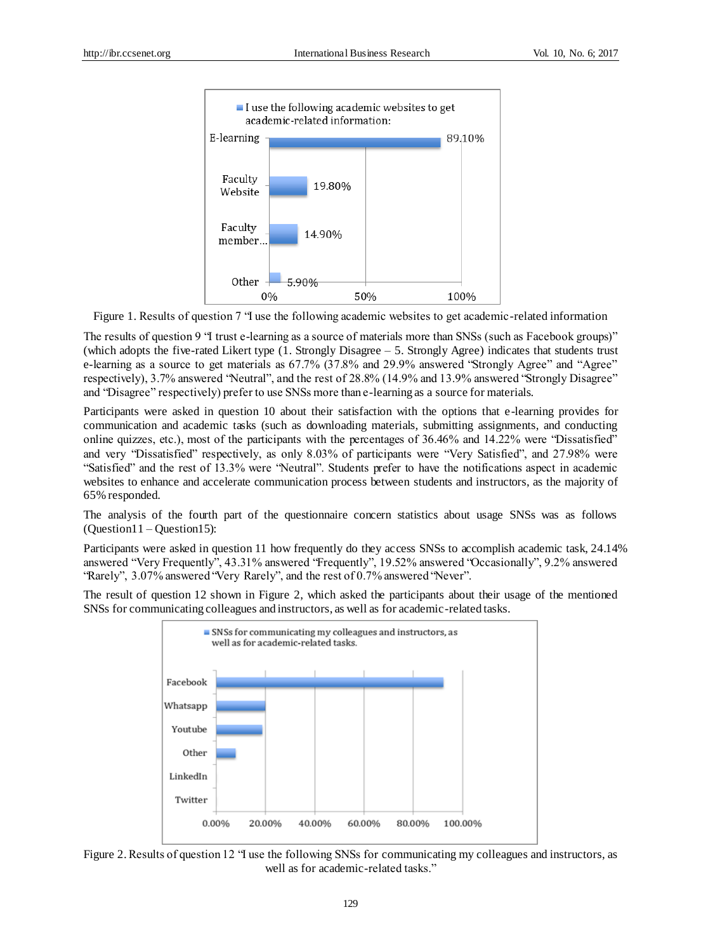

Figure 1. Results of question 7 "I use the following academic websites to get academic-related information

The results of question 9 "I trust e-learning as a source of materials more than SNSs (such as Facebook groups)" (which adopts the five-rated Likert type (1. Strongly Disagree – 5. Strongly Agree) indicates that students trust e-learning as a source to get materials as 67.7% (37.8% and 29.9% answered "Strongly Agree" and "Agree" respectively), 3.7% answered "Neutral", and the rest of 28.8% (14.9% and 13.9% answered "Strongly Disagree" and "Disagree" respectively) prefer to use SNSs more than e-learning as a source for materials.

Participants were asked in question 10 about their satisfaction with the options that e-learning provides for communication and academic tasks (such as downloading materials, submitting assignments, and conducting online quizzes, etc.), most of the participants with the percentages of 36.46% and 14.22% were "Dissatisfied" and very "Dissatisfied" respectively, as only 8.03% of participants were "Very Satisfied", and 27.98% were "Satisfied" and the rest of 13.3% were "Neutral". Students prefer to have the notifications aspect in academic websites to enhance and accelerate communication process between students and instructors, as the majority of 65% responded.

The analysis of the fourth part of the questionnaire concern statistics about usage SNSs was as follows  $(Question11 - Question15):$ 

Participants were asked in question 11 how frequently do they access SNSs to accomplish academic task, 24.14% answered "Very Frequently", 43.31% answered "Frequently", 19.52% answered "Occasionally", 9.2% answered "Rarely", 3.07% answered "Very Rarely", and the rest of 0.7% answered "Never".

The result of question 12 shown in Figure 2, which asked the participants about their usage of the mentioned SNSs for communicating colleagues and instructors, as well as for academic-related tasks.



Figure 2. Results of question 12 "I use the following SNSs for communicating my colleagues and instructors, as well as for academic-related tasks."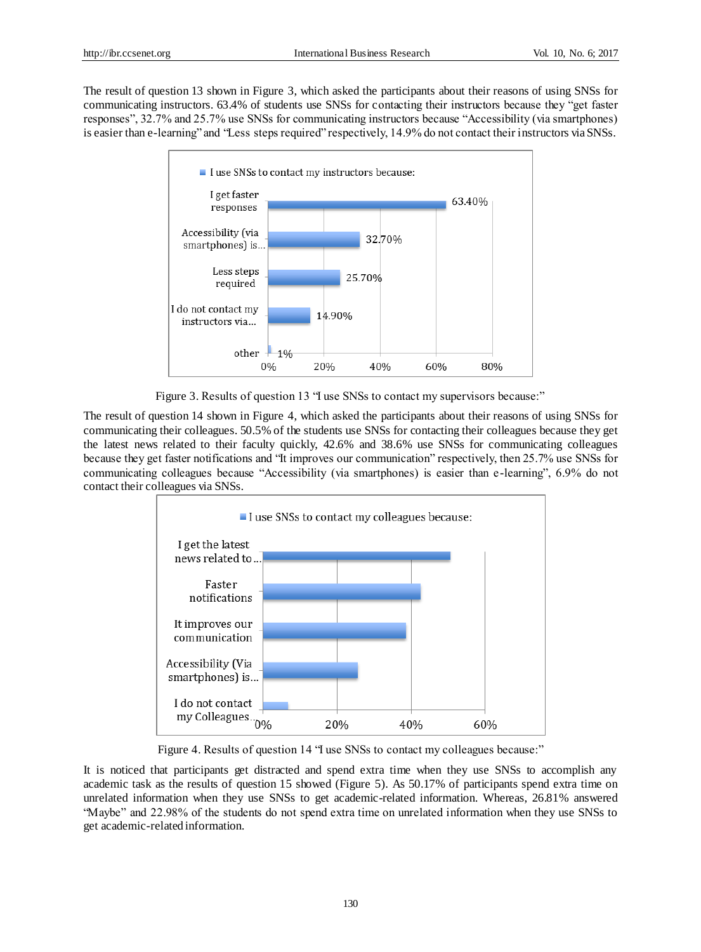The result of question 13 shown in Figure 3, which asked the participants about their reasons of using SNSs for communicating instructors. 63.4% of students use SNSs for contacting their instructors because they "get faster responses", 32.7% and 25.7% use SNSs for communicating instructors because "Accessibility (via smartphones) is easier than e-learning" and "Less steps required" respectively, 14.9% do not contact their instructors via SNSs.



Figure 3. Results of question 13 "I use SNSs to contact my supervisors because:"

The result of question 14 shown in Figure 4, which asked the participants about their reasons of using SNSs for communicating their colleagues. 50.5% of the students use SNSs for contacting their colleagues because they get the latest news related to their faculty quickly, 42.6% and 38.6% use SNSs for communicating colleagues because they get faster notifications and "It improves our communication" respectively, then 25.7% use SNSs for communicating colleagues because "Accessibility (via smartphones) is easier than e-learning", 6.9% do not contact their colleagues via SNSs.



Figure 4. Results of question 14 "I use SNSs to contact my colleagues because:"

It is noticed that participants get distracted and spend extra time when they use SNSs to accomplish any academic task as the results of question 15 showed (Figure 5). As 50.17% of participants spend extra time on unrelated information when they use SNSs to get academic-related information. Whereas, 26.81% answered "Maybe" and 22.98% of the students do not spend extra time on unrelated information when they use SNSs to get academic-related information.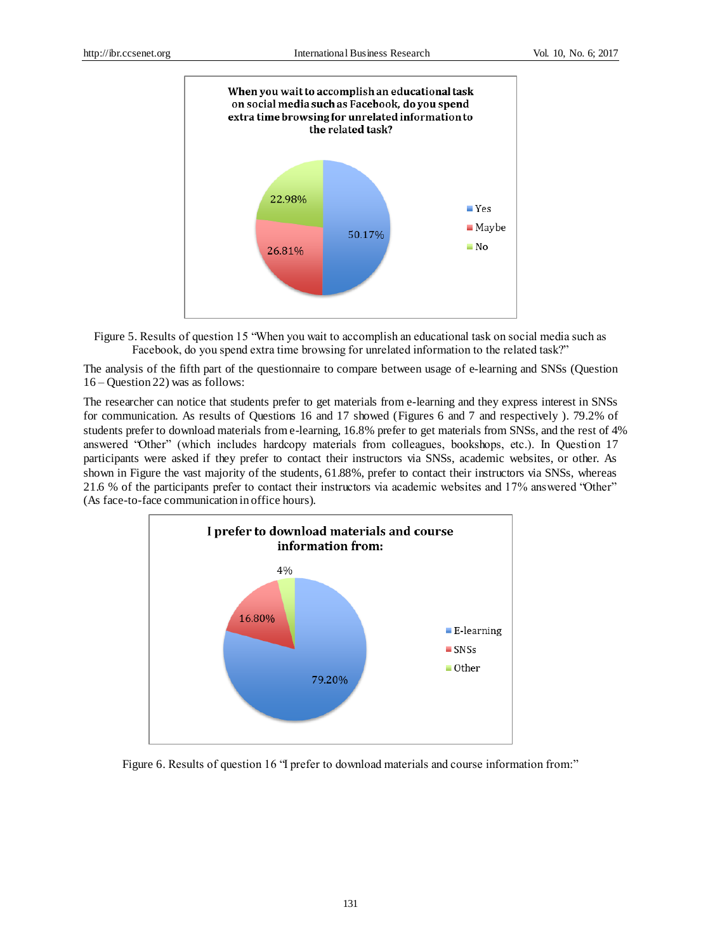

Figure 5. Results of question 15 "When you wait to accomplish an educational task on social media such as Facebook, do you spend extra time browsing for unrelated information to the related task?"

The analysis of the fifth part of the questionnaire to compare between usage of e-learning and SNSs (Question 16 – Question 22) was as follows:

The researcher can notice that students prefer to get materials from e-learning and they express interest in SNSs for communication. As results of Questions 16 and 17 showed (Figures 6 and 7 and respectively ). 79.2% of students prefer to download materials from e-learning, 16.8% prefer to get materials from SNSs, and the rest of 4% answered "Other" (which includes hardcopy materials from colleagues, bookshops, etc.). In Question 17 participants were asked if they prefer to contact their instructors via SNSs, academic websites, or other. As shown in Figure the vast majority of the students, 61.88%, prefer to contact their instructors via SNSs, whereas 21.6 % of the participants prefer to contact their instructors via academic websites and 17% answered "Other" (As face-to-face communication in office hours).



Figure 6. Results of question 16 "I prefer to download materials and course information from:"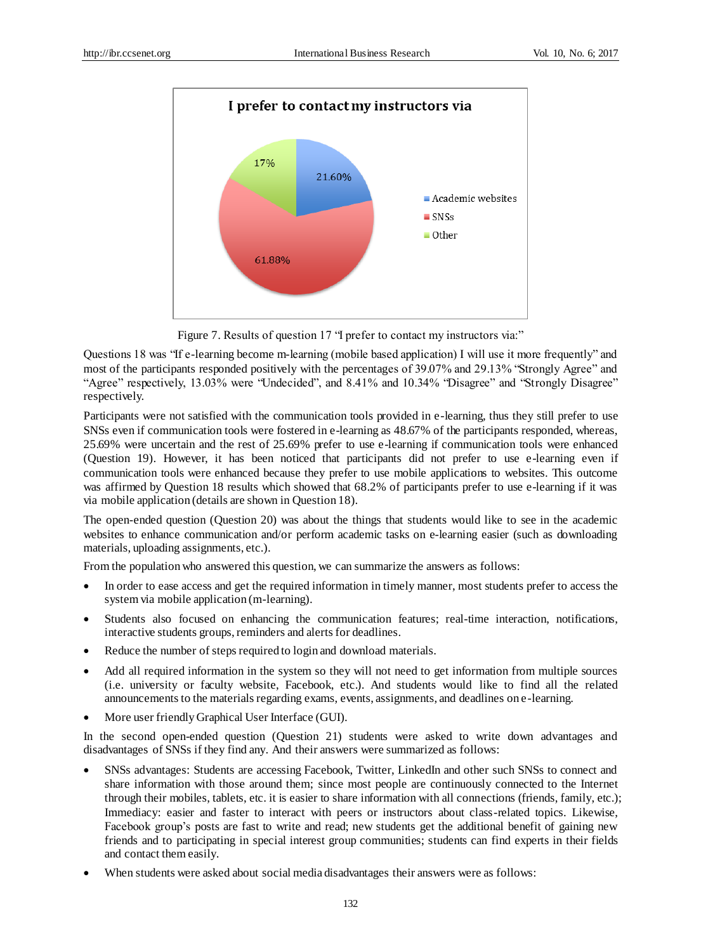

Figure 7. Results of question 17 "I prefer to contact my instructors via:"

Questions 18 was "If e-learning become m-learning (mobile based application) I will use it more frequently" and most of the participants responded positively with the percentages of 39.07% and 29.13% "Strongly Agree" and "Agree" respectively, 13.03% were "Undecided", and 8.41% and 10.34% "Disagree" and "Strongly Disagree" respectively.

Participants were not satisfied with the communication tools provided in e-learning, thus they still prefer to use SNSs even if communication tools were fostered in e-learning as 48.67% of the participants responded, whereas, 25.69% were uncertain and the rest of 25.69% prefer to use e-learning if communication tools were enhanced (Question 19). However, it has been noticed that participants did not prefer to use e-learning even if communication tools were enhanced because they prefer to use mobile applications to websites. This outcome was affirmed by Question 18 results which showed that 68.2% of participants prefer to use e-learning if it was via mobile application (details are shown in Question 18).

The open-ended question (Question 20) was about the things that students would like to see in the academic websites to enhance communication and/or perform academic tasks on e-learning easier (such as downloading materials, uploading assignments, etc.).

From the population who answered this question, we can summarize the answers as follows:

- In order to ease access and get the required information in timely manner, most students prefer to access the system via mobile application (m-learning).
- Students also focused on enhancing the communication features; real-time interaction, notifications, interactive students groups, reminders and alerts for deadlines.
- Reduce the number of steps required to login and download materials.
- Add all required information in the system so they will not need to get information from multiple sources (i.e. university or faculty website, Facebook, etc.). And students would like to find all the related announcements to the materials regarding exams, events, assignments, and deadlines on e-learning.
- More user friendly Graphical User Interface (GUI).

In the second open-ended question (Question 21) students were asked to write down advantages and disadvantages of SNSs if they find any. And their answers were summarized as follows:

- SNSs advantages: Students are accessing Facebook, Twitter, LinkedIn and other such SNSs to connect and share information with those around them; since most people are continuously connected to the Internet through their mobiles, tablets, etc. it is easier to share information with all connections (friends, family, etc.); Immediacy: easier and faster to interact with peers or instructors about class-related topics. Likewise, Facebook group's posts are fast to write and read; new students get the additional benefit of gaining new friends and to participating in special interest group communities; students can find experts in their fields and contact them easily.
- When students were asked about social media disadvantages their answers were as follows: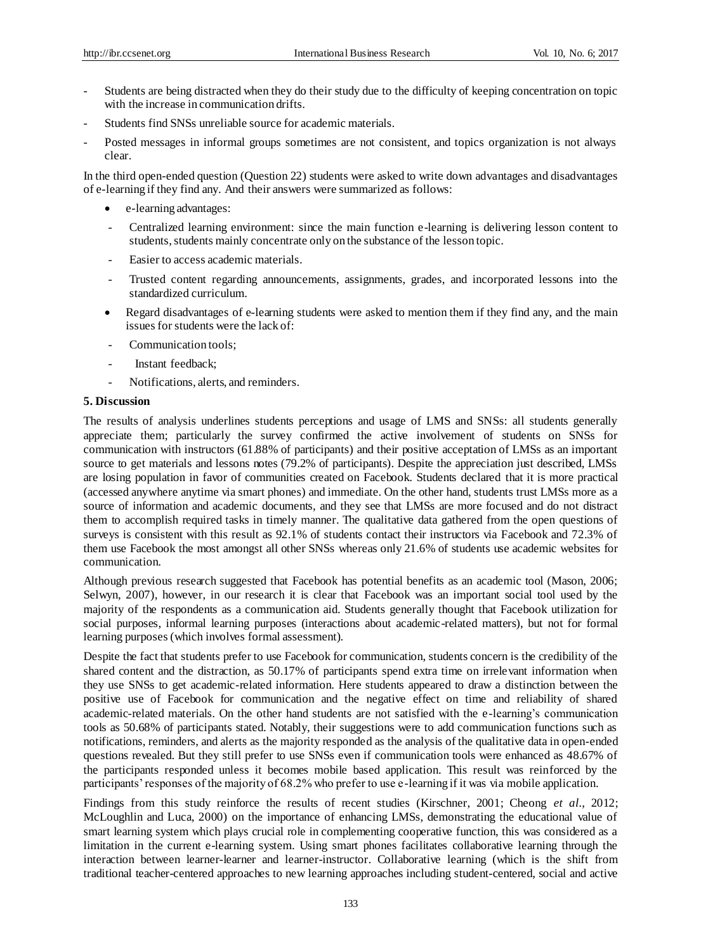- Students are being distracted when they do their study due to the difficulty of keeping concentration on topic with the increase in communication drifts.
- Students find SNSs unreliable source for academic materials.
- Posted messages in informal groups sometimes are not consistent, and topics organization is not always clear.

In the third open-ended question (Question 22) students were asked to write down advantages and disadvantages of e-learning if they find any. And their answers were summarized as follows:

- e-learning advantages:
- Centralized learning environment: since the main function e-learning is delivering lesson content to students, students mainly concentrate only on the substance of the lesson topic.
- Easier to access academic materials.
- Trusted content regarding announcements, assignments, grades, and incorporated lessons into the standardized curriculum.
- Regard disadvantages of e-learning students were asked to mention them if they find any, and the main issues for students were the lack of:
- Communication tools;
- Instant feedback:
- Notifications, alerts, and reminders.

## **5. Discussion**

The results of analysis underlines students perceptions and usage of LMS and SNSs: all students generally appreciate them; particularly the survey confirmed the active involvement of students on SNSs for communication with instructors (61.88% of participants) and their positive acceptation of LMSs as an important source to get materials and lessons notes (79.2% of participants). Despite the appreciation just described, LMSs are losing population in favor of communities created on Facebook. Students declared that it is more practical (accessed anywhere anytime via smart phones) and immediate. On the other hand, students trust LMSs more as a source of information and academic documents, and they see that LMSs are more focused and do not distract them to accomplish required tasks in timely manner. The qualitative data gathered from the open questions of surveys is consistent with this result as 92.1% of students contact their instructors via Facebook and 72.3% of them use Facebook the most amongst all other SNSs whereas only 21.6% of students use academic websites for communication.

Although previous research suggested that Facebook has potential benefits as an academic tool (Mason, 2006; Selwyn, 2007), however, in our research it is clear that Facebook was an important social tool used by the majority of the respondents as a communication aid. Students generally thought that Facebook utilization for social purposes, informal learning purposes (interactions about academic-related matters), but not for formal learning purposes (which involves formal assessment).

Despite the fact that students prefer to use Facebook for communication, students concern is the credibility of the shared content and the distraction, as 50.17% of participants spend extra time on irrelevant information when they use SNSs to get academic-related information. Here students appeared to draw a distinction between the positive use of Facebook for communication and the negative effect on time and reliability of shared academic-related materials. On the other hand students are not satisfied with the e-learning's communication tools as 50.68% of participants stated. Notably, their suggestions were to add communication functions such as notifications, reminders, and alerts as the majority responded as the analysis of the qualitative data in open-ended questions revealed. But they still prefer to use SNSs even if communication tools were enhanced as 48.67% of the participants responded unless it becomes mobile based application. This result was reinforced by the participants' responses of the majority of 68.2% who prefer to use e-learning if it was via mobile application.

Findings from this study reinforce the results of recent studies (Kirschner, 2001; Cheong *et al.*, 2012; McLoughlin and Luca, 2000) on the importance of enhancing LMSs, demonstrating the educational value of smart learning system which plays crucial role in complementing cooperative function, this was considered as a limitation in the current e-learning system. Using smart phones facilitates collaborative learning through the interaction between learner-learner and learner-instructor. Collaborative learning (which is the shift from traditional teacher-centered approaches to new learning approaches including student-centered, social and active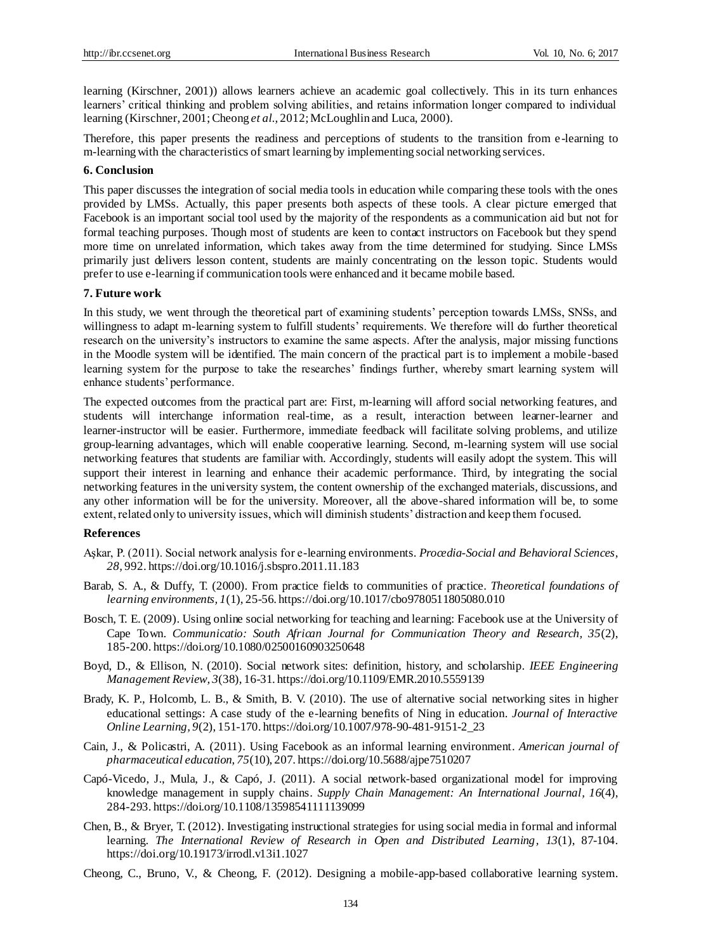learning (Kirschner, 2001)) allows learners achieve an academic goal collectively. This in its turn enhances learners' critical thinking and problem solving abilities, and retains information longer compared to individual learning (Kirschner, 2001; Cheong et al., 2012; McLoughlin and Luca, 2000).

Therefore, this paper presents the readiness and perceptions of students to the transition from e-learning to m-learning with the characteristics of smart learning by implementing social networking services.

#### **6. Conclusion**

This paper discusses the integration of social media tools in education while comparing these tools with the ones provided by LMSs. Actually, this paper presents both aspects of these tools. A clear picture emerged that Facebook is an important social tool used by the majority of the respondents as a communication aid but not for formal teaching purposes. Though most of students are keen to contact instructors on Facebook but they spend more time on unrelated information, which takes away from the time determined for studying. Since LMSs primarily just delivers lesson content, students are mainly concentrating on the lesson topic. Students would prefer to use e-learning if communication tools were enhanced and it became mobile based.

#### **7. Future work**

In this study, we went through the theoretical part of examining students' perception towards LMSs, SNSs, and willingness to adapt m-learning system to fulfill students' requirements. We therefore will do further theoretical research on the university's instructors to examine the same aspects. After the analysis, major missing functions in the Moodle system will be identified. The main concern of the practical part is to implement a mobile -based learning system for the purpose to take the researches' findings further, whereby smart learning system will enhance students' performance.

The expected outcomes from the practical part are: First, m-learning will afford social networking features, and students will interchange information real-time, as a result, interaction between learner-learner and learner-instructor will be easier. Furthermore, immediate feedback will facilitate solving problems, and utilize group-learning advantages, which will enable cooperative learning. Second, m-learning system will use social networking features that students are familiar with. Accordingly, students will easily adopt the system. This will support their interest in learning and enhance their academic performance. Third, by integrating the social networking features in the university system, the content ownership of the exchanged materials, discussions, and any other information will be for the university. Moreover, all the above-shared information will be, to some extent, related only to university issues, which will diminish students' distraction and keep them focused.

## **References**

- Aşkar, P. (2011). Social network analysis for e-learning environments. *Procedia-Social and Behavioral Sciences*, *28,* 992. https://doi.org/10.1016/j.sbspro.2011.11.183
- Barab, S. A., & Duffy, T. (2000). From practice fields to communities of practice. *Theoretical foundations of learning environments, 1*(1), 25-56[. https://doi.org/10.1017/cbo9780511805080.010](https://doi.org/10.1017/cbo9780511805080.010 )
- Bosch, T. E. (2009). Using online social networking for teaching and learning: Facebook use at the University of Cape Town. *Communicatio: South African Journal for Communication Theory and Research, 35*(2), 185-200. <https://doi.org/10.1080/02500160903250648>
- Boyd, D., & Ellison, N. (2010). Social network sites: definition, history, and scholarship. *IEEE Engineering Management Review, 3*(38), 16-31. https://doi.org/10.1109/EMR.2010.5559139
- Brady, K. P., Holcomb, L. B., & Smith, B. V. (2010). The use of alternative social networking sites in higher educational settings: A case study of the e-learning benefits of Ning in education. *Journal of Interactive Online Learning, 9*(2), 151-170. [https://doi.org/10.1007/978-90-481-9151-2\\_23](https://doi.org/10.1007/978-90-481-9151-2_23)
- Cain, J., & Policastri, A. (2011). Using Facebook as an informal learning environment. *American journal of pharmaceutical education*, *75*(10), 207. https://doi.org/10.5688/ajpe7510207
- Capó-Vicedo, J., Mula, J., & Capó, J. (2011). A social network-based organizational model for improving knowledge management in supply chains. *Supply Chain Management: An International Journal, 16*(4), 284-293[. https://doi.org/10.1108/13598541111139099](https://doi.org/10.1108/13598541111139099)
- Chen, B., & Bryer, T. (2012). Investigating instructional strategies for using social media in formal and informal learning. *The International Review of Research in Open and Distributed Learning, 13*(1), 87-104. https://doi.org/10.19173/irrodl.v13i1.1027
- Cheong, C., Bruno, V., & Cheong, F. (2012). Designing a mobile-app-based collaborative learning system.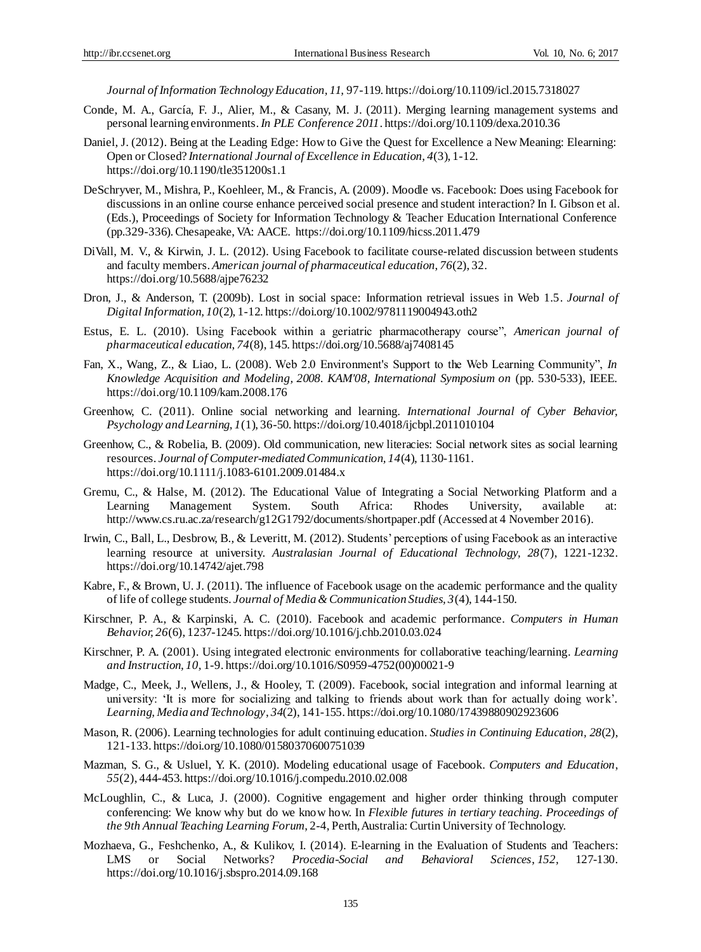*Journal of Information Technology Education, 11,* 97-119. <https://doi.org/10.1109/icl.2015.7318027>

- Conde, M. A., Garc á, F. J., Alier, M., & Casany, M. J. (2011). Merging learning management systems and personal learning environments.*In PLE Conference 2011*[. https://doi.org/10.1109/dexa.2010.36](https://doi.org/10.1109/dexa.2010.36 )
- Daniel, J. (2012). Being at the Leading Edge: How to Give the Quest for Excellence a New Meaning: Elearning: Open or Closed? *International Journal of Excellence in Education, 4*(3), 1-12. <https://doi.org/10.1190/tle351200s1.1>
- DeSchryver, M., Mishra, P., Koehleer, M., & Francis, A. (2009). Moodle vs. Facebook: Does using Facebook for discussions in an online course enhance perceived social presence and student interaction? In I. Gibson et al. (Eds.), Proceedings of Society for Information Technology & Teacher Education International Conference (pp.329-336). Chesapeake, VA: AACE. <https://doi.org/10.1109/hicss.2011.479>
- DiVall, M. V., & Kirwin, J. L. (2012). Using Facebook to facilitate course-related discussion between students and faculty members. *American journal of pharmaceutical education*, *76*(2), 32. <https://doi.org/10.5688/ajpe76232>
- Dron, J., & Anderson, T. (2009b). Lost in social space: Information retrieval issues in Web 1.5. *Journal of Digital Information, 10*(2), 1-12[. https://doi.org/10.1002/9781119004943.oth2](https://doi.org/10.1002/9781119004943.oth2)
- Estus, E. L. (2010). Using Facebook within a geriatric pharmacotherapy course", *American journal of pharmaceutical education*, *74*(8), 145[. https://doi.org/10.5688/aj7408145](https://doi.org/10.5688/aj7408145 )
- Fan, X., Wang, Z., & Liao, L. (2008). Web 2.0 Environment's Support to the Web Learning Community", *In Knowledge Acquisition and Modeling, 2008. KAM'08, International Symposium on* (pp. 530-533), IEEE. <https://doi.org/10.1109/kam.2008.176>
- Greenhow, C. (2011). Online social networking and learning. *International Journal of Cyber Behavior, Psychology and Learning, 1*(1), 36-50. <https://doi.org/10.4018/ijcbpl.2011010104>
- Greenhow, C., & Robelia, B. (2009). Old communication, new literacies: Social network sites as social learning resources. *Journal of Computer-mediated Communication, 14*(4), 1130-1161. https://doi.org/10.1111/j.1083-6101.2009.01484.x
- Gremu, C., & Halse, M. (2012). The Educational Value of Integrating a Social Networking Platform and a Learning Management System. South Africa: Rhodes University, available at: <http://www.cs.ru.ac.za/research/g12G1792/documents/shortpaper.pdf> (Accessed at 4 November 2016).
- Irwin, C., Ball, L., Desbrow, B., & Leveritt, M. (2012). Students' perceptions of using Facebook as an interactive learning resource at university. *Australasian Journal of Educational Technology, 28*(7), 1221-1232. [https://doi.org/10.14742/ajet.798](https://doi.org/10.14742/ajet.798 )
- Kabre, F., & Brown, U. J. (2011). The influence of Facebook usage on the academic performance and the quality of life of college students. *Journal of Media & Communication Studies, 3*(4), 144-150.
- Kirschner, P. A., & Karpinski, A. C. (2010). Facebook and academic performance. *Computers in Human Behavior, 26*(6), 1237-1245. https://doi.org/10.1016/j.chb.2010.03.024
- Kirschner, P. A. (2001). Using integrated electronic environments for collaborative teaching/learning. *Learning and Instruction, 10,* 1-9. https://doi.org/10.1016/S0959-4752(00)00021-9
- Madge, C., Meek, J., Wellens, J., & Hooley, T. (2009). Facebook, social integration and informal learning at university: 'It is more for socializing and talking to friends about work than for actually doing work'. *Learning, Media and Technology*, *34*(2), 141-155. https://doi.org/10.1080/17439880902923606
- Mason, R. (2006). Learning technologies for adult continuing education. *Studies in Continuing Education, 28*(2), 121-133. https://doi.org/10.1080/01580370600751039
- Mazman, S. G., & Usluel, Y. K. (2010). Modeling educational usage of Facebook. *Computers and Education*, *55*(2), 444-453. https://doi.org/10.1016/j.compedu.2010.02.008
- McLoughlin, C., & Luca, J. (2000). Cognitive engagement and higher order thinking through computer conferencing: We know why but do we know how. In *Flexible futures in tertiary teaching. Proceedings of the 9th Annual Teaching Learning Forum*, 2-4, Perth, Australia: Curtin University of Technology.
- Mozhaeva, G., Feshchenko, A., & Kulikov, I. (2014). E-learning in the Evaluation of Students and Teachers: LMS or Social Networks? *Procedia-Social and Behavioral Sciences*, *152,* 127-130. https://doi.org/10.1016/j.sbspro.2014.09.168